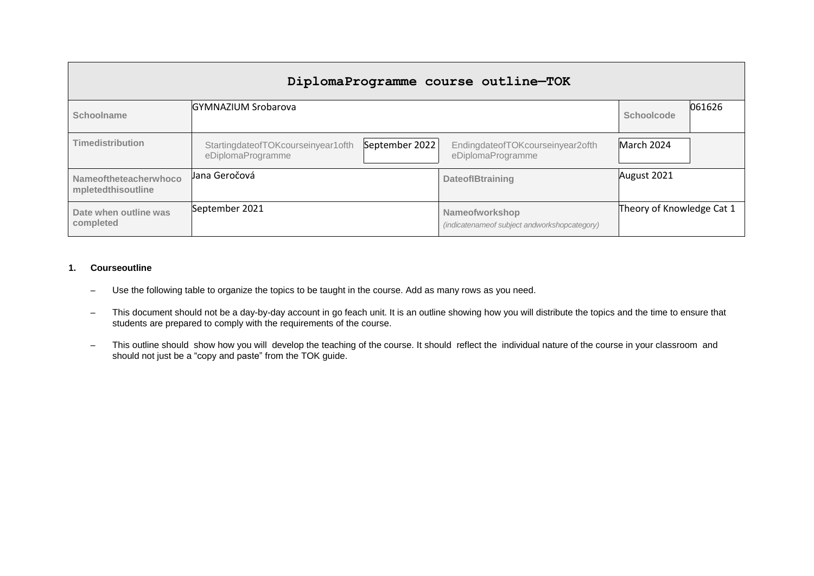| DiplomaProgramme course outline-TOK         |                                                                           |                                                                   |                           |        |  |  |
|---------------------------------------------|---------------------------------------------------------------------------|-------------------------------------------------------------------|---------------------------|--------|--|--|
| Schoolname                                  | <b>GYMNAZIUM Srobarova</b>                                                |                                                                   | Schoolcode                | 061626 |  |  |
| <b>Timedistribution</b>                     | September 2022<br>StartingdateofTOKcourseinyear1ofth<br>eDiplomaProgramme | EndingdateofTOKcourseinyear2ofth<br>eDiplomaProgramme             | March 2024                |        |  |  |
| Nameoftheteacherwhoco<br>mpletedthisoutline | Jana Geročová                                                             | <b>DateofIBtraining</b>                                           | August 2021               |        |  |  |
| Date when outline was<br>completed          | September 2021                                                            | Nameofworkshop<br>(indicatename of subject and workshop category) | Theory of Knowledge Cat 1 |        |  |  |

### **1. Courseoutline**

- Use the following table to organize the topics to be taught in the course. Add as many rows as you need.
- This document should not be a day-by-day account in go feach unit. It is an outline showing how you will distribute the topics and the time to ensure that students are prepared to comply with the requirements of the course.
- This outline should show how you will develop the teaching of the course. It should reflect the individual nature of the course in your classroom and should not just be a "copy and paste" from the TOK guide.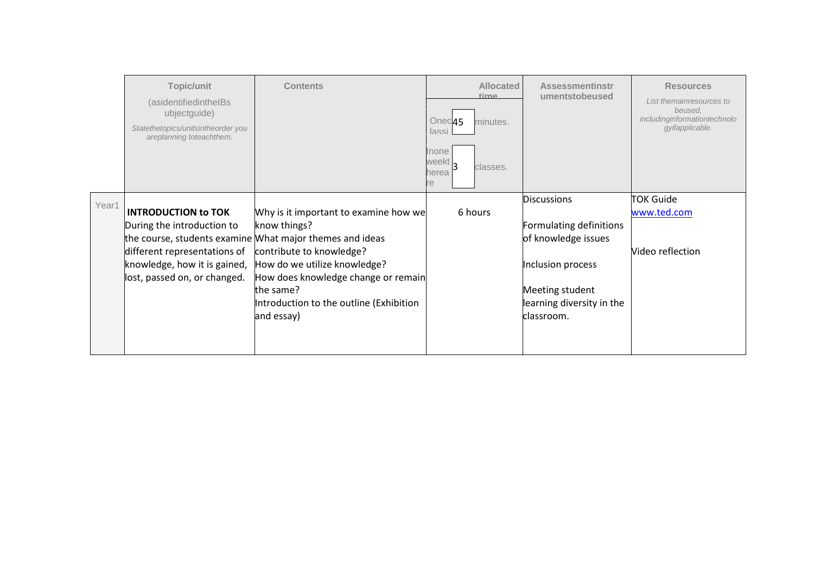|       | Topic/unit<br>(asidentifiedintheIBs<br>ubjectguide)<br>Statethetopics/unitsintheorder you<br>areplanning toteachthem.                                    | <b>Contents</b>                                                                                                                                                                                                                                                                            | <b>Allocated</b><br>time<br>Onec <sub>45</sub><br>minutes.<br>lassi<br>Inone<br>weekt,<br>classes.<br>herea<br>re | <b>Assessmentinstr</b><br>umentstobeused                                                                                                                | <b>Resources</b><br>List themainresources to<br>beused.<br>includinginformationtechnolo<br>qyifapplicable. |
|-------|----------------------------------------------------------------------------------------------------------------------------------------------------------|--------------------------------------------------------------------------------------------------------------------------------------------------------------------------------------------------------------------------------------------------------------------------------------------|-------------------------------------------------------------------------------------------------------------------|---------------------------------------------------------------------------------------------------------------------------------------------------------|------------------------------------------------------------------------------------------------------------|
| Year1 | <b>INTRODUCTION to TOK</b><br>During the introduction to<br>different representations of<br>knowledge, how it is gained,<br>lost, passed on, or changed. | Why is it important to examine how we<br>know things?<br>the course, students examine What major themes and ideas<br>contribute to knowledge?<br>How do we utilize knowledge?<br>How does knowledge change or remain<br>the same?<br>Introduction to the outline (Exhibition<br>and essay) | 6 hours                                                                                                           | <b>Discussions</b><br>Formulating definitions<br>of knowledge issues<br>Inclusion process<br>Meeting student<br>learning diversity in the<br>classroom. | <b>TOK Guide</b><br>www.ted.com<br>Video reflection                                                        |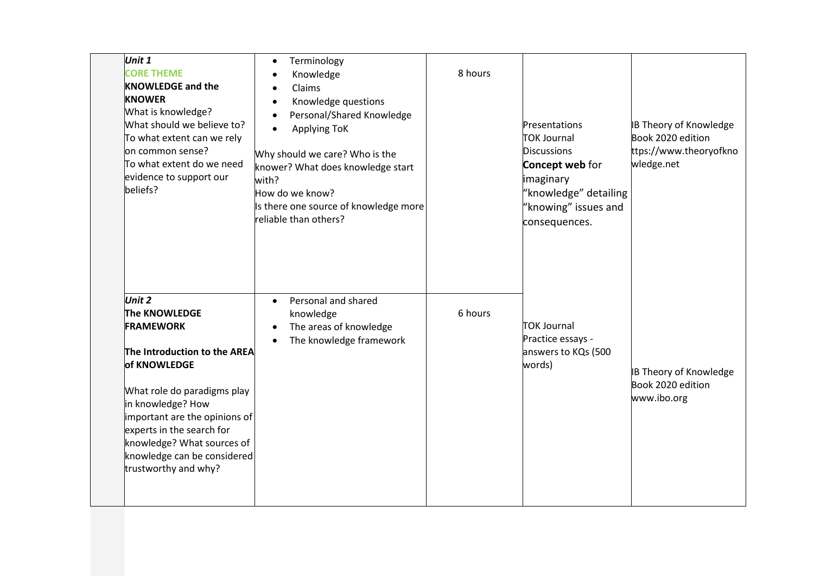| Unit 1<br><b>CORE THEME</b><br><b>KNOWLEDGE and the</b><br><b>KNOWER</b><br>What is knowledge?<br>What should we believe to?<br>To what extent can we rely<br>on common sense?<br>To what extent do we need<br>evidence to support our<br>beliefs?                                                 | Terminology<br>$\bullet$<br>Knowledge<br>$\bullet$<br>Claims<br>$\bullet$<br>Knowledge questions<br>$\bullet$<br>Personal/Shared Knowledge<br>$\bullet$<br><b>Applying ToK</b><br>$\bullet$<br>Why should we care? Who is the<br>knower? What does knowledge start<br>with?<br>How do we know?<br>Is there one source of knowledge more<br>reliable than others? | 8 hours | Presentations<br>TOK Journal<br><b>Discussions</b><br>Concept web for<br>imaginary<br>"knowledge" detailing<br>"knowing" issues and<br>consequences. | <b>B Theory of Knowledge</b><br>Book 2020 edition<br>ttps://www.theoryofkno<br>wledge.net |
|----------------------------------------------------------------------------------------------------------------------------------------------------------------------------------------------------------------------------------------------------------------------------------------------------|------------------------------------------------------------------------------------------------------------------------------------------------------------------------------------------------------------------------------------------------------------------------------------------------------------------------------------------------------------------|---------|------------------------------------------------------------------------------------------------------------------------------------------------------|-------------------------------------------------------------------------------------------|
| Unit 2<br>The KNOWLEDGE<br><b>FRAMEWORK</b><br>The Introduction to the AREA<br>of KNOWLEDGE<br>What role do paradigms play<br>in knowledge? How<br>important are the opinions of<br>experts in the search for<br>knowledge? What sources of<br>knowledge can be considered<br>trustworthy and why? | Personal and shared<br>$\bullet$<br>knowledge<br>The areas of knowledge<br>$\bullet$<br>The knowledge framework<br>$\bullet$                                                                                                                                                                                                                                     | 6 hours | <b>TOK Journal</b><br>Practice essays -<br>answers to KQs (500<br>words)                                                                             | <b>B Theory of Knowledge</b><br>Book 2020 edition<br>www.ibo.org                          |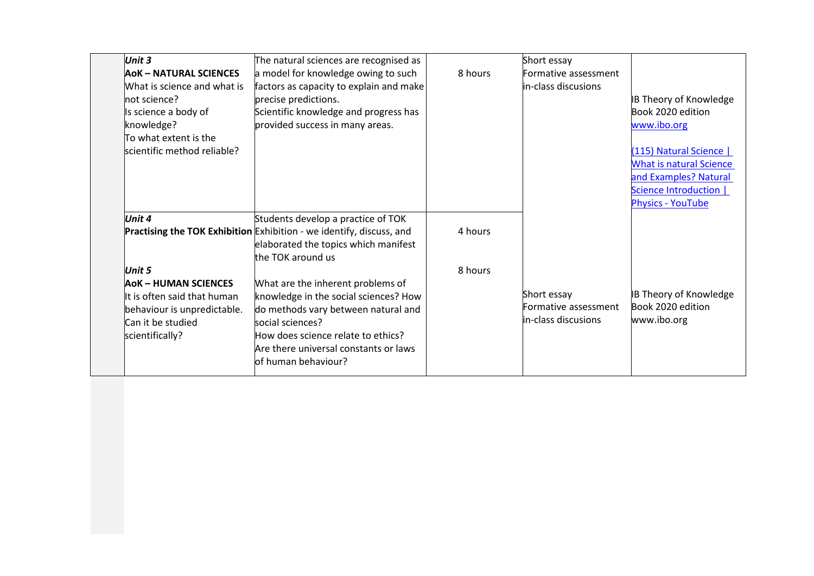| <b>Unit 3</b>                                    | The natural sciences are recognised as                                       |         | Short essay          |                                |
|--------------------------------------------------|------------------------------------------------------------------------------|---------|----------------------|--------------------------------|
| <b>AOK - NATURAL SCIENCES</b>                    | a model for knowledge owing to such                                          | 8 hours | Formative assessment |                                |
| What is science and what is                      | factors as capacity to explain and make                                      |         | in-class discusions  |                                |
| not science?                                     | precise predictions.                                                         |         |                      | <b>IB Theory of Knowledge</b>  |
| Is science a body of                             | Scientific knowledge and progress has                                        |         |                      | Book 2020 edition              |
| knowledge?                                       | provided success in many areas.                                              |         |                      | www.ibo.org                    |
| To what extent is the                            |                                                                              |         |                      |                                |
| scientific method reliable?                      |                                                                              |         |                      | (115) Natural Science          |
|                                                  |                                                                              |         |                      | <b>What is natural Science</b> |
|                                                  |                                                                              |         |                      | and Examples? Natural          |
|                                                  |                                                                              |         |                      | Science Introduction           |
|                                                  |                                                                              |         |                      | <b>Physics - YouTube</b>       |
| Unit 4                                           | Students develop a practice of TOK                                           |         |                      |                                |
|                                                  | <b>Practising the TOK Exhibition</b> Exhibition - we identify, discuss, and  | 4 hours |                      |                                |
|                                                  | elaborated the topics which manifest                                         |         |                      |                                |
|                                                  | the TOK around us                                                            |         |                      |                                |
| Unit 5                                           |                                                                              | 8 hours |                      |                                |
| <b>AOK - HUMAN SCIENCES</b>                      | What are the inherent problems of                                            |         | Short essay          | <b>IB Theory of Knowledge</b>  |
| It is often said that human                      | knowledge in the social sciences? How<br>do methods vary between natural and |         | Formative assessment | Book 2020 edition              |
| behaviour is unpredictable.<br>Can it be studied | social sciences?                                                             |         | lin-class discusions | www.ibo.org                    |
| scientifically?                                  | How does science relate to ethics?                                           |         |                      |                                |
|                                                  | Are there universal constants or laws                                        |         |                      |                                |
|                                                  | lof human behaviour?                                                         |         |                      |                                |
|                                                  |                                                                              |         |                      |                                |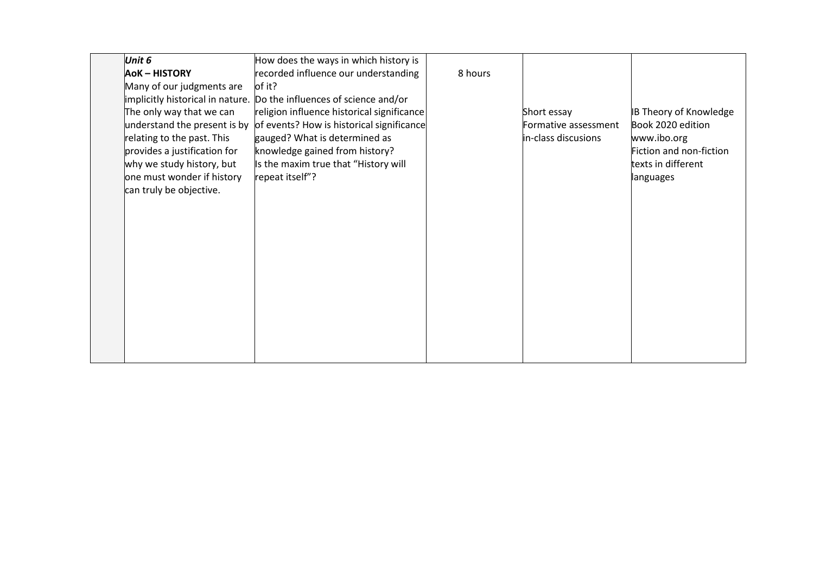| Unit 6                       | How does the ways in which history is                                |         |                      |                               |
|------------------------------|----------------------------------------------------------------------|---------|----------------------|-------------------------------|
| <b>AoK-HISTORY</b>           | recorded influence our understanding                                 | 8 hours |                      |                               |
| Many of our judgments are    | of it?                                                               |         |                      |                               |
|                              | implicitly historical in nature. Do the influences of science and/or |         |                      |                               |
| The only way that we can     | religion influence historical significance                           |         | Short essay          | <b>IB Theory of Knowledge</b> |
| understand the present is by | of events? How is historical significance                            |         | Formative assessment | Book 2020 edition             |
| relating to the past. This   | gauged? What is determined as                                        |         | in-class discusions  | www.ibo.org                   |
| provides a justification for | knowledge gained from history?                                       |         |                      | Fiction and non-fiction       |
| why we study history, but    | Is the maxim true that "History will                                 |         |                      | texts in different            |
| one must wonder if history   | repeat itself"?                                                      |         |                      | languages                     |
| can truly be objective.      |                                                                      |         |                      |                               |
|                              |                                                                      |         |                      |                               |
|                              |                                                                      |         |                      |                               |
|                              |                                                                      |         |                      |                               |
|                              |                                                                      |         |                      |                               |
|                              |                                                                      |         |                      |                               |
|                              |                                                                      |         |                      |                               |
|                              |                                                                      |         |                      |                               |
|                              |                                                                      |         |                      |                               |
|                              |                                                                      |         |                      |                               |
|                              |                                                                      |         |                      |                               |
|                              |                                                                      |         |                      |                               |
|                              |                                                                      |         |                      |                               |
|                              |                                                                      |         |                      |                               |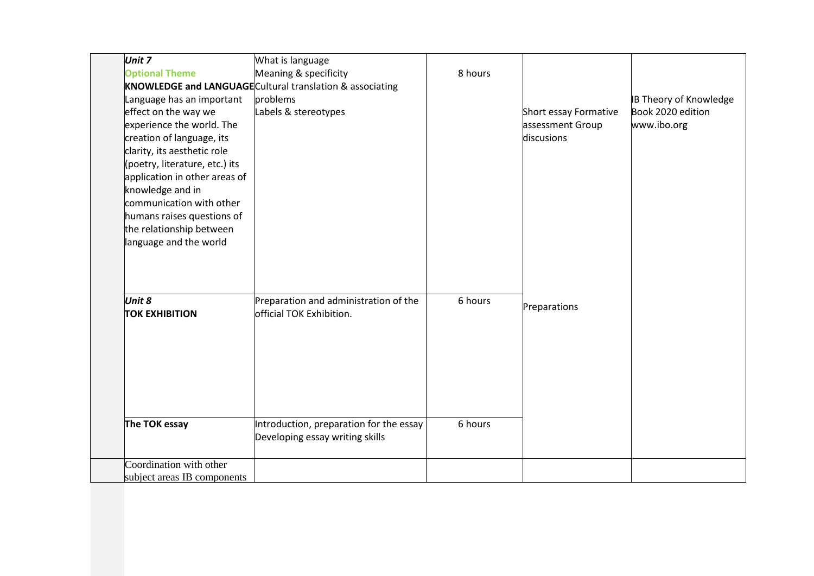| Unit 7                         | What is language                                                         |         |                       |                               |
|--------------------------------|--------------------------------------------------------------------------|---------|-----------------------|-------------------------------|
| <b>Optional Theme</b>          | Meaning & specificity                                                    | 8 hours |                       |                               |
|                                | KNOWLEDGE and LANGUAGE Cultural translation & associating                |         |                       |                               |
| Language has an important      | problems                                                                 |         |                       | <b>IB Theory of Knowledge</b> |
| effect on the way we           | Labels & stereotypes                                                     |         | Short essay Formative | Book 2020 edition             |
| experience the world. The      |                                                                          |         | assessment Group      | www.ibo.org                   |
| creation of language, its      |                                                                          |         | discusions            |                               |
| clarity, its aesthetic role    |                                                                          |         |                       |                               |
| (poetry, literature, etc.) its |                                                                          |         |                       |                               |
| application in other areas of  |                                                                          |         |                       |                               |
| knowledge and in               |                                                                          |         |                       |                               |
| communication with other       |                                                                          |         |                       |                               |
| humans raises questions of     |                                                                          |         |                       |                               |
| the relationship between       |                                                                          |         |                       |                               |
| language and the world         |                                                                          |         |                       |                               |
|                                |                                                                          |         |                       |                               |
|                                |                                                                          |         |                       |                               |
|                                |                                                                          |         |                       |                               |
|                                |                                                                          |         |                       |                               |
| Unit 8                         | Preparation and administration of the<br><b>official TOK Exhibition.</b> | 6 hours | Preparations          |                               |
| <b>TOK EXHIBITION</b>          |                                                                          |         |                       |                               |
|                                |                                                                          |         |                       |                               |
|                                |                                                                          |         |                       |                               |
|                                |                                                                          |         |                       |                               |
|                                |                                                                          |         |                       |                               |
|                                |                                                                          |         |                       |                               |
|                                |                                                                          |         |                       |                               |
|                                |                                                                          |         |                       |                               |
| The TOK essay                  | Introduction, preparation for the essay                                  | 6 hours |                       |                               |
|                                | Developing essay writing skills                                          |         |                       |                               |
|                                |                                                                          |         |                       |                               |
| Coordination with other        |                                                                          |         |                       |                               |
| subject areas IB components    |                                                                          |         |                       |                               |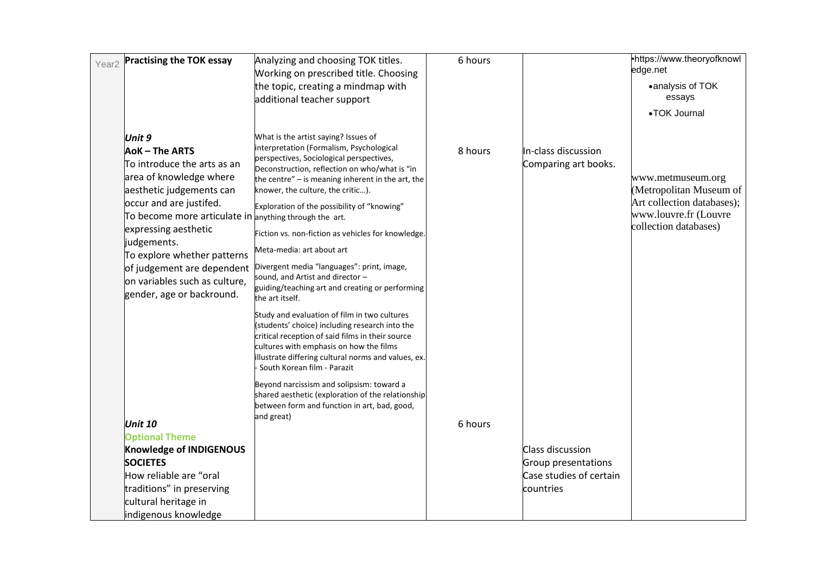| <b>Practising the TOK essay</b><br>Year <sub>2</sub>                                                                                                                                                                     | Analyzing and choosing TOK titles.<br>Working on prescribed title. Choosing<br>the topic, creating a mindmap with<br>additional teacher support                                                                                                                                                                          | 6 hours |                                                                                 | •https://www.theoryofknowl<br>edge.net<br>•analysis of TOK<br>essays<br>•TOK Journal                |
|--------------------------------------------------------------------------------------------------------------------------------------------------------------------------------------------------------------------------|--------------------------------------------------------------------------------------------------------------------------------------------------------------------------------------------------------------------------------------------------------------------------------------------------------------------------|---------|---------------------------------------------------------------------------------|-----------------------------------------------------------------------------------------------------|
| Unit 9<br>AoK-The ARTS<br>$\overline{\textsf{T}}$ o introduce the arts as an<br>area of knowledge where<br>aesthetic judgements can<br>occur and are justifed.<br>To become more articulate in anything through the art. | What is the artist saying? Issues of<br>interpretation (Formalism, Psychological<br>perspectives, Sociological perspectives,<br>Deconstruction, reflection on who/what is "in<br>the centre" $-$ is meaning inherent in the art, the<br>knower, the culture, the critic).<br>Exploration of the possibility of "knowing" | 8 hours | In-class discussion<br>Comparing art books.                                     | www.metmuseum.org<br>(Metropolitan Museum of<br>Art collection databases);<br>www.louvre.fr (Louvre |
| expressing aesthetic<br>judgements.<br>To explore whether patterns<br>of judgement are dependent<br>on variables such as culture,<br>gender, age or backround.                                                           | Fiction vs. non-fiction as vehicles for knowledge.<br>Meta-media: art about art<br>Divergent media "languages": print, image,<br>sound, and Artist and director -<br>guiding/teaching art and creating or performing<br>the art itself.                                                                                  |         |                                                                                 | collection databases)                                                                               |
|                                                                                                                                                                                                                          | Study and evaluation of film in two cultures<br>(students' choice) including research into the<br>critical reception of said films in their source<br>cultures with emphasis on how the films<br>illustrate differing cultural norms and values, ex.<br>South Korean film - Parazit                                      |         |                                                                                 |                                                                                                     |
| <b>Unit 10</b>                                                                                                                                                                                                           | Beyond narcissism and solipsism: toward a<br>shared aesthetic (exploration of the relationship<br>between form and function in art, bad, good,<br>and great)                                                                                                                                                             | 6 hours |                                                                                 |                                                                                                     |
| <b>Optional Theme</b><br>Knowledge of INDIGENOUS<br><b>SOCIETES</b><br>How reliable are "oral<br>traditions" in preserving<br>cultural heritage in<br>indigenous knowledge                                               |                                                                                                                                                                                                                                                                                                                          |         | Class discussion<br>Group presentations<br>Case studies of certain<br>countries |                                                                                                     |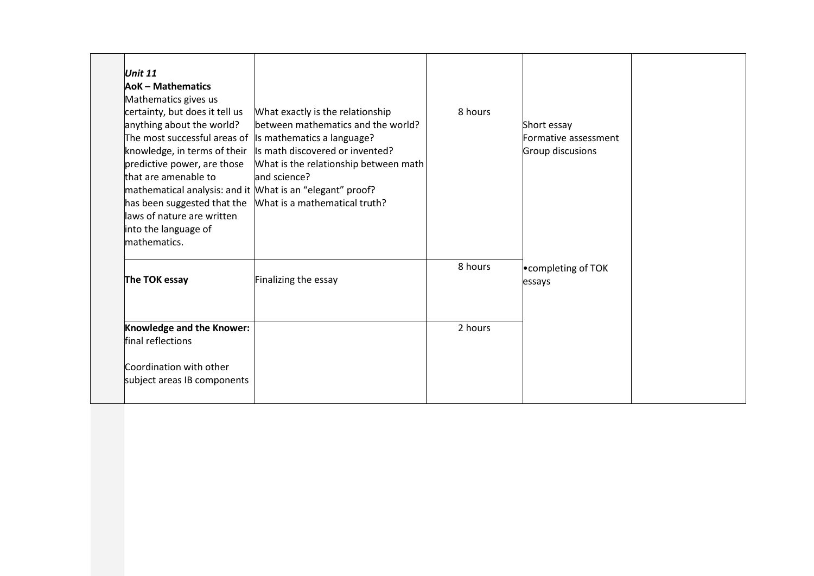| Unit $11$<br><b>AoK-Mathematics</b><br>Mathematics gives us<br>certainty, but does it tell us<br>anything about the world?<br>knowledge, in terms of their<br>predictive power, are those<br>that are amenable to<br>laws of nature are written<br>into the language of<br>mathematics. | What exactly is the relationship<br>between mathematics and the world?<br>The most successful areas of Is mathematics a language?<br>Is math discovered or invented?<br>What is the relationship between math<br>and science?<br>mathematical analysis: and it Mhat is an "elegant" proof?<br>has been suggested that the Mhat is a mathematical truth? | 8 hours | Short essay<br>Formative assessment<br>Group discusions |  |
|-----------------------------------------------------------------------------------------------------------------------------------------------------------------------------------------------------------------------------------------------------------------------------------------|---------------------------------------------------------------------------------------------------------------------------------------------------------------------------------------------------------------------------------------------------------------------------------------------------------------------------------------------------------|---------|---------------------------------------------------------|--|
| The TOK essay                                                                                                                                                                                                                                                                           | Finalizing the essay                                                                                                                                                                                                                                                                                                                                    | 8 hours | . completing of TOK<br>essays                           |  |
| Knowledge and the Knower:<br>final reflections                                                                                                                                                                                                                                          |                                                                                                                                                                                                                                                                                                                                                         | 2 hours |                                                         |  |
| Coordination with other<br>subject areas IB components                                                                                                                                                                                                                                  |                                                                                                                                                                                                                                                                                                                                                         |         |                                                         |  |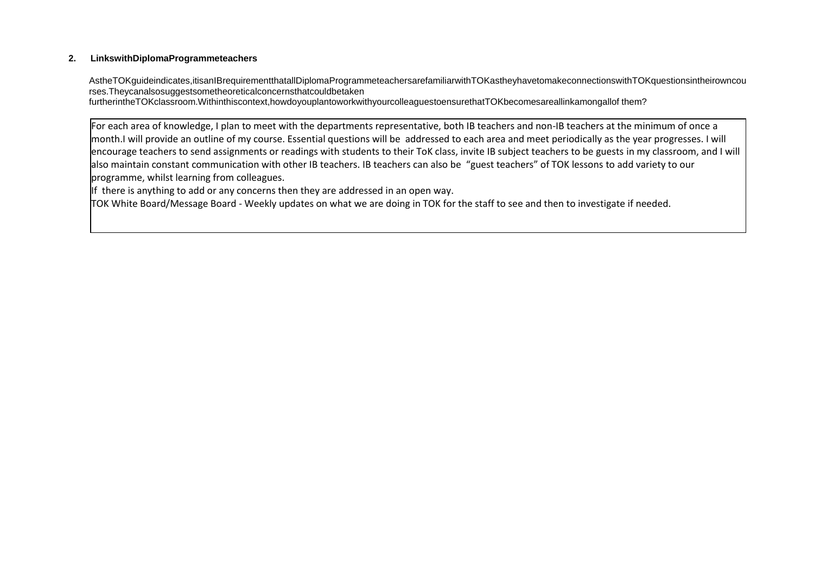#### **2. LinkswithDiplomaProgrammeteachers**

AstheTOKguideindicates,itisanIBrequirementthatallDiplomaProgrammeteachersarefamiliarwithTOKastheyhavetomakeconnectionswithTOKquestionsintheirowncou rses.Theycanalsosuggestsometheoreticalconcernsthatcouldbetaken

furtherintheTOKclassroom.Withinthiscontext,howdoyouplantoworkwithyourcolleaguestoensurethatTOKbecomesareallinkamongallof them?

For each area of knowledge, I plan to meet with the departments representative, both IB teachers and non-IB teachers at the minimum of once a month.I will provide an outline of my course. Essential questions will be addressed to each area and meet periodically as the year progresses. I will encourage teachers to send assignments or readings with students to their ToK class, invite IB subject teachers to be guests in my classroom, and I will also maintain constant communication with other IB teachers. IB teachers can also be "guest teachers" of TOK lessons to add variety to our programme, whilst learning from colleagues.

If there is anything to add or any concerns then they are addressed in an open way.

TOK White Board/Message Board - Weekly updates on what we are doing in TOK for the staff to see and then to investigate if needed.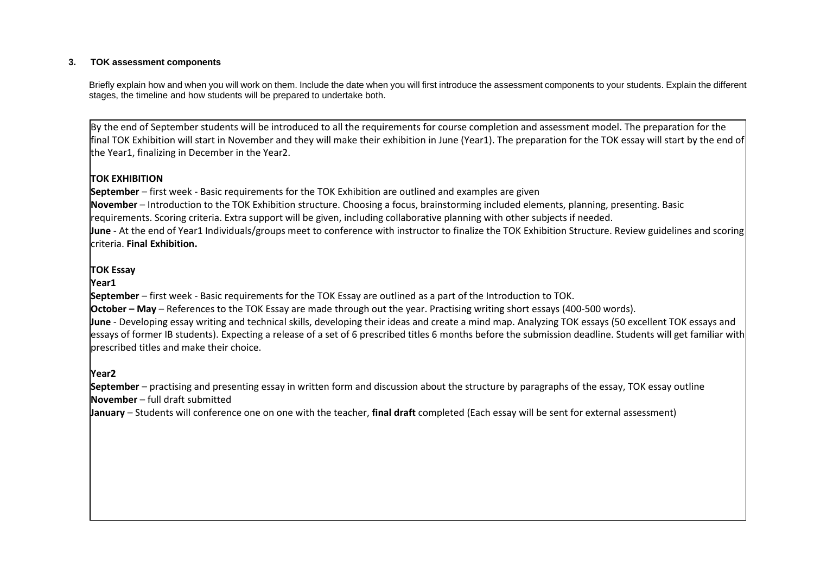#### **3. TOK assessment components**

Briefly explain how and when you will work on them. Include the date when you will first introduce the assessment components to your students. Explain the different stages, the timeline and how students will be prepared to undertake both.

By the end of September students will be introduced to all the requirements for course completion and assessment model. The preparation for the final TOK Exhibition will start in November and they will make their exhibition in June (Year1). The preparation for the TOK essay will start by the end of the Year1, finalizing in December in the Year2.

## **TOK EXHIBITION**

**September** – first week - Basic requirements for the TOK Exhibition are outlined and examples are given **November** – Introduction to the TOK Exhibition structure. Choosing a focus, brainstorming included elements, planning, presenting. Basic requirements. Scoring criteria. Extra support will be given, including collaborative planning with other subjects if needed. **June** - At the end of Year1 Individuals/groups meet to conference with instructor to finalize the TOK Exhibition Structure. Review guidelines and scoring criteria. **Final Exhibition.**

## **TOK Essay**

**Year1**

**September** – first week - Basic requirements for the TOK Essay are outlined as a part of the Introduction to TOK.

**October – May** – References to the TOK Essay are made through out the year. Practising writing short essays (400-500 words).

**June** - Developing essay writing and technical skills, developing their ideas and create a mind map. Analyzing TOK essays (50 excellent TOK essays and essays of former IB students). Expecting a release of a set of 6 prescribed titles 6 months before the submission deadline. Students will get familiar with prescribed titles and make their choice.

## **Year2**

**September** – practising and presenting essay in written form and discussion about the structure by paragraphs of the essay, TOK essay outline **November** – full draft submitted

**January** – Students will conference one on one with the teacher, **final draft** completed (Each essay will be sent for external assessment)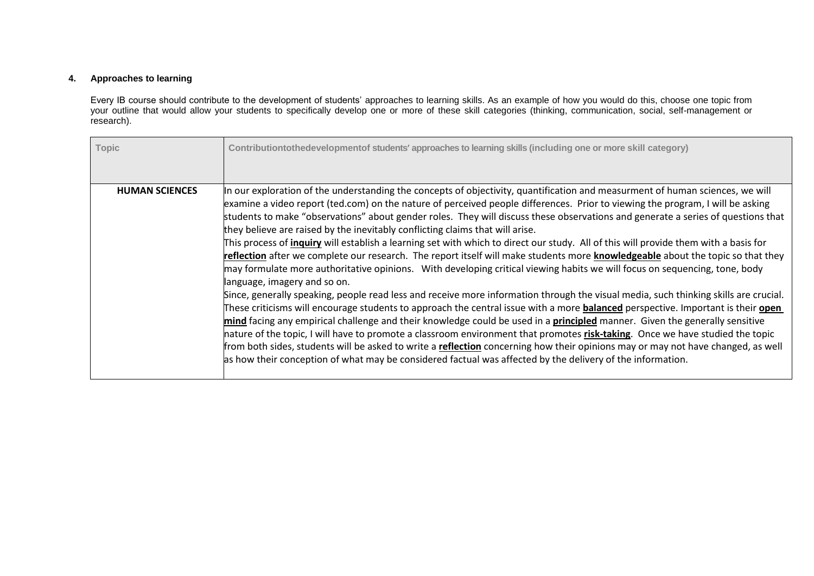#### **4. Approaches to learning**

Every IB course should contribute to the development of students' approaches to learning skills. As an example of how you would do this, choose one topic from your outline that would allow your students to specifically develop one or more of these skill categories (thinking, communication, social, self-management or research).

| <b>Topic</b>          | Contributiontothedevelopmentof students' approaches to learning skills (including one or more skill category)                                                                                                                                                                                                                                                                                                                                                                                                                                                                                                                                                                                                                                                                                                                                                                                                                                                                                                                                                                                                                                                                                                                                                                                                                                                                                                                                                                                                                                                                                                                                                                                                                             |
|-----------------------|-------------------------------------------------------------------------------------------------------------------------------------------------------------------------------------------------------------------------------------------------------------------------------------------------------------------------------------------------------------------------------------------------------------------------------------------------------------------------------------------------------------------------------------------------------------------------------------------------------------------------------------------------------------------------------------------------------------------------------------------------------------------------------------------------------------------------------------------------------------------------------------------------------------------------------------------------------------------------------------------------------------------------------------------------------------------------------------------------------------------------------------------------------------------------------------------------------------------------------------------------------------------------------------------------------------------------------------------------------------------------------------------------------------------------------------------------------------------------------------------------------------------------------------------------------------------------------------------------------------------------------------------------------------------------------------------------------------------------------------------|
| <b>HUMAN SCIENCES</b> | In our exploration of the understanding the concepts of objectivity, quantification and measurment of human sciences, we will<br>examine a video report (ted.com) on the nature of perceived people differences. Prior to viewing the program, I will be asking<br>students to make "observations" about gender roles. They will discuss these observations and generate a series of questions that<br>they believe are raised by the inevitably conflicting claims that will arise.<br>This process of <i>inquiry</i> will establish a learning set with which to direct our study. All of this will provide them with a basis for<br>reflection after we complete our research. The report itself will make students more knowledgeable about the topic so that they<br>may formulate more authoritative opinions. With developing critical viewing habits we will focus on sequencing, tone, body<br>language, imagery and so on.<br>Since, generally speaking, people read less and receive more information through the visual media, such thinking skills are crucial.<br>These criticisms will encourage students to approach the central issue with a more <b>balanced</b> perspective. Important is their open<br>mind facing any empirical challenge and their knowledge could be used in a principled manner. Given the generally sensitive<br>nature of the topic, I will have to promote a classroom environment that promotes risk-taking. Once we have studied the topic<br>from both sides, students will be asked to write a reflection concerning how their opinions may or may not have changed, as well<br>as how their conception of what may be considered factual was affected by the delivery of the information. |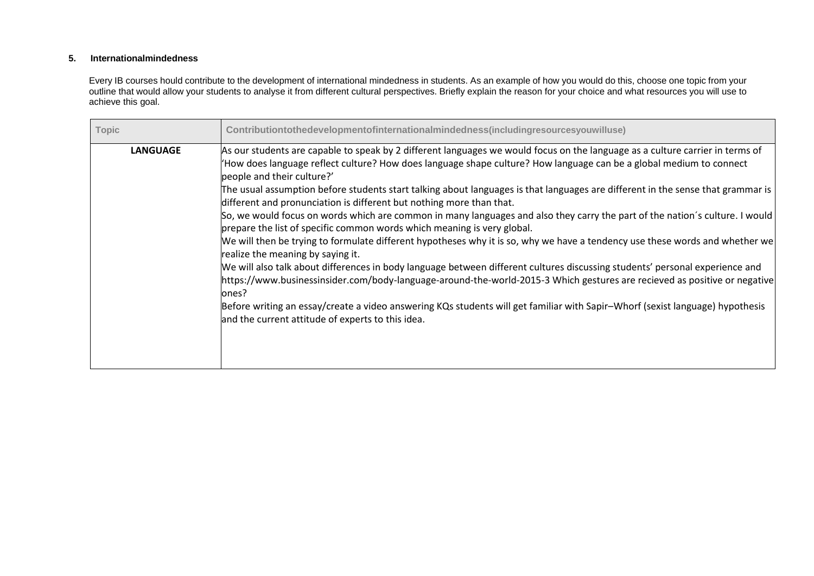## **5. Internationalmindedness**

Every IB courses hould contribute to the development of international mindedness in students. As an example of how you would do this, choose one topic from your outline that would allow your students to analyse it from different cultural perspectives. Briefly explain the reason for your choice and what resources you will use to achieve this goal.

| <b>Topic</b>    | Contributiontothedevelopmentofinternationalmindedness(includingresourcesyouwilluse)                                                                                                                                                                                                                                                                                                                                                                                                                                                                                                                                                                                                                                                                                                                                                                                                                                                                                                                                                                                                                                                                                                                                                                                                                                                      |
|-----------------|------------------------------------------------------------------------------------------------------------------------------------------------------------------------------------------------------------------------------------------------------------------------------------------------------------------------------------------------------------------------------------------------------------------------------------------------------------------------------------------------------------------------------------------------------------------------------------------------------------------------------------------------------------------------------------------------------------------------------------------------------------------------------------------------------------------------------------------------------------------------------------------------------------------------------------------------------------------------------------------------------------------------------------------------------------------------------------------------------------------------------------------------------------------------------------------------------------------------------------------------------------------------------------------------------------------------------------------|
| <b>LANGUAGE</b> | As our students are capable to speak by 2 different languages we would focus on the language as a culture carrier in terms of<br>How does language reflect culture? How does language shape culture? How language can be a global medium to connect<br>people and their culture?'<br>The usual assumption before students start talking about languages is that languages are different in the sense that grammar is<br>different and pronunciation is different but nothing more than that.<br>So, we would focus on words which are common in many languages and also they carry the part of the nation's culture. I would<br>prepare the list of specific common words which meaning is very global.<br>We will then be trying to formulate different hypotheses why it is so, why we have a tendency use these words and whether we<br>realize the meaning by saying it.<br>We will also talk about differences in body language between different cultures discussing students' personal experience and<br>https://www.businessinsider.com/body-language-around-the-world-2015-3 Which gestures are recieved as positive or negative<br>ones?<br>Before writing an essay/create a video answering KQs students will get familiar with Sapir-Whorf (sexist language) hypothesis<br>and the current attitude of experts to this idea. |